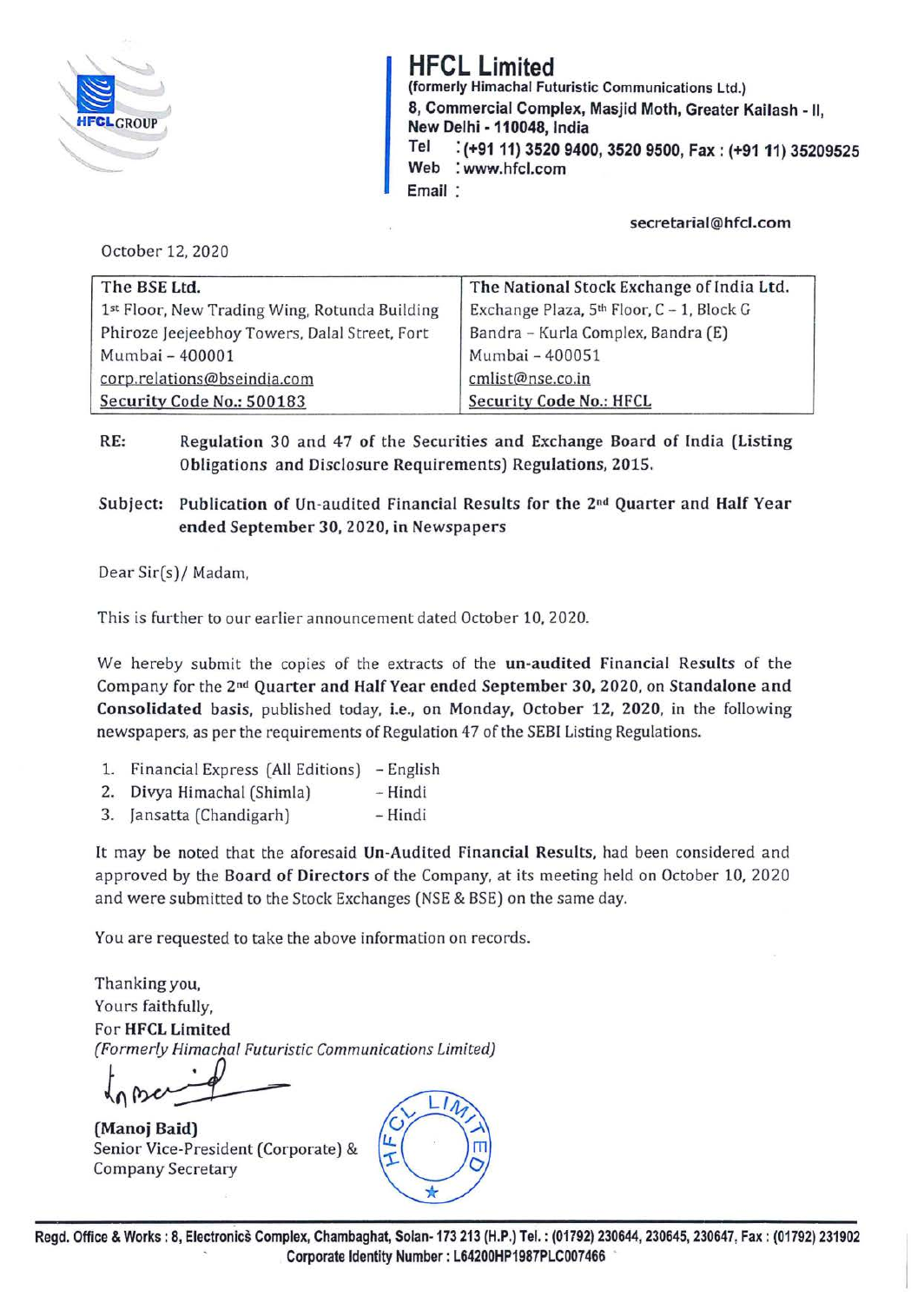

**HFCL Limited (formerly Himachal Futuristic Communications** Ltd.) **8, Commercial Complex, Masjid Moth, Greater Kailash** - II, **New Delhi** - **110048, India Tel** : **(+9111) 3520 9400, 3520 9500, Fax: (+9111) 35209525 Web** : **www.hfcl.com Email** :

**secretarial@hfcl.com** 

October 12, 2020

| The BSE Ltd.                                  | The National Stock Exchange of India Ltd.             |
|-----------------------------------------------|-------------------------------------------------------|
| 1st Floor, New Trading Wing, Rotunda Building | Exchange Plaza, 5 <sup>th</sup> Floor, C - 1, Block G |
| Phiroze Jeejeebhoy Towers, Dalal Street, Fort | Bandra - Kurla Complex, Bandra (E)                    |
| Mumbai - 400001                               | Mumbai - 400051                                       |
| corp.relations@bseindia.com                   | cmlist@nse.co.in                                      |
| Security Code No.: 500183                     | <b>Security Code No.: HFCL</b>                        |

RE: Regulation 30 and 47 of the Securities and Exchange Board of India (Listing **Obligations and Disclosure Requirements) Regulations, 2015.** 

**Subject: Publication of Un-audited Financial Results for the 2nd Quarter and Half Year ended September 30, 2020, in Newspapers** 

Dear Sir(s)/ Madam,

This is further to our earlier announcement dated October 10, 2020.

We hereby submit the copies of the extracts of the **un-audited Financial Results** of the Company for the **2 nd Quarter and Half Year ended September 30, 2020,** on **Standalone and Consolidated basis,** published today, **i.e., on Monday, October 12, 2020,** in the following newspapers, as per the requirements of Regulation 47 of the SEBI Listing Regulations.

- 1. Financial Express (All Editions) English
- 2. Divya Himachal (Shimla) Hindi
- 3. Jansatta (Chandigarh) Hindi

It may be noted that the aforesaid **Un-Audited Financial Results,** had been considered and approved by the **Board of Directors** of the Company, at its meeting held on October 10, 2020 and were submitted to the Stock Exchanges (NSE & BSE) on the same day.

You are requested to take the *above* information on records.

Thanking you, Yours faithfully, For **HFCL Limited**  *(Formerly Himachal Futuristic Communications Limited)* 

 $t_{\text{n}}$  procedure **(Manoj Baid)** 

Senior Vice-President (Corporate) & Company Secretary

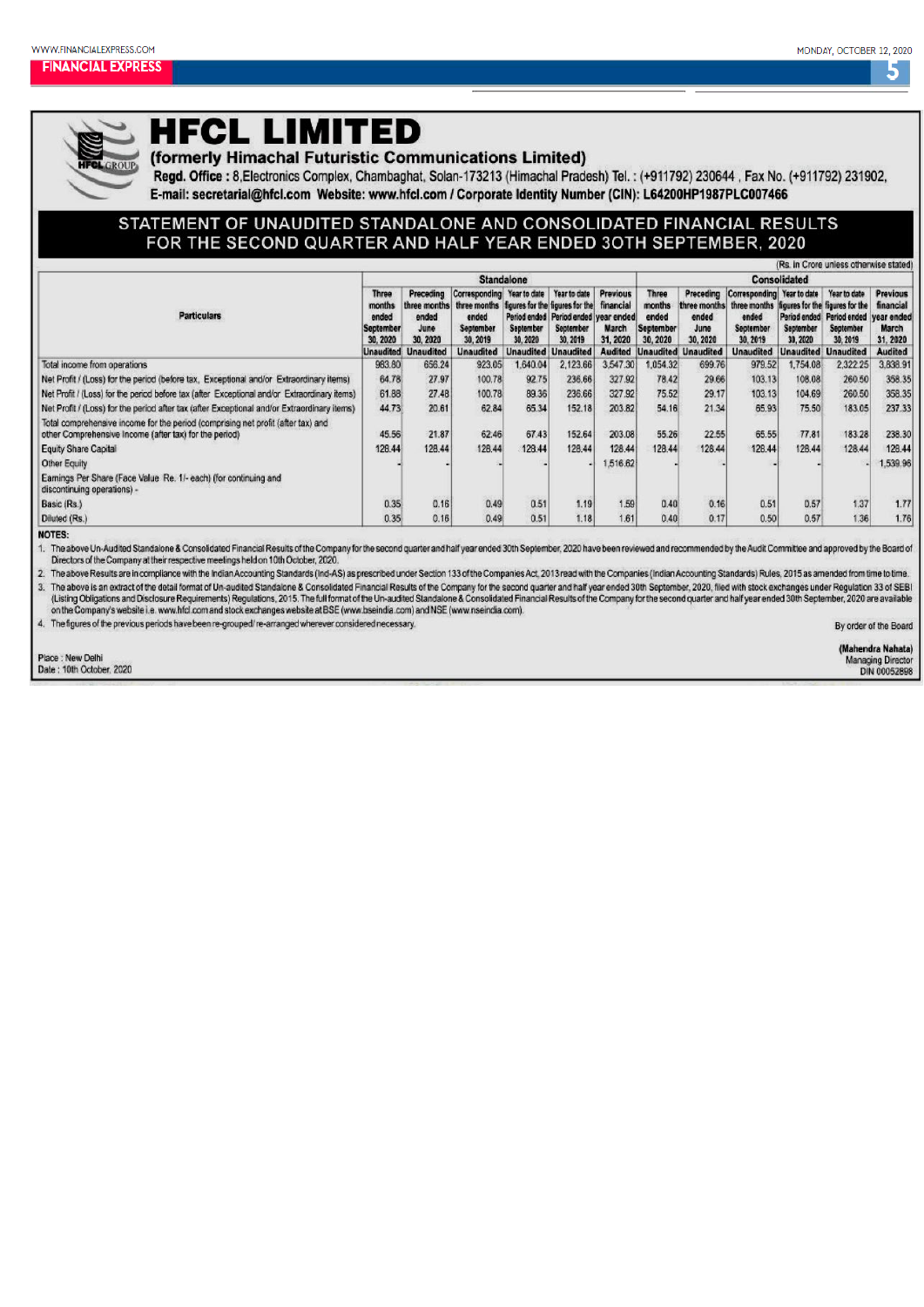## 5



## **HFCL LIMITED**

(formerly Himachal Futuristic Communications Limited)

Regd. Office: 8, Electronics Complex, Chambaghat, Solan-173213 (Himachal Pradesh) Tel.: (+911792) 230644, Fax No. (+911792) 231902, E-mail: secretarial@hfcl.com Website: www.hfcl.com / Corporate Identity Number (CIN): L64200HP1987PLC007466

#### STATEMENT OF UNAUDITED STANDALONE AND CONSOLIDATED FINANCIAL RESULTS FOR THE SECOND QUARTER AND HALF YEAR ENDED 3OTH SEPTEMBER, 2020

|                                                                                                                                            |                                                          |                                        |                                                                                                                     |                                       |                                                                                   |                                                   |                                                          |                                       |                                                                                                                           |                       | tris. In Crore unless otherwise stated                                        |                                                  |  |
|--------------------------------------------------------------------------------------------------------------------------------------------|----------------------------------------------------------|----------------------------------------|---------------------------------------------------------------------------------------------------------------------|---------------------------------------|-----------------------------------------------------------------------------------|---------------------------------------------------|----------------------------------------------------------|---------------------------------------|---------------------------------------------------------------------------------------------------------------------------|-----------------------|-------------------------------------------------------------------------------|--------------------------------------------------|--|
|                                                                                                                                            | <b>Standalone</b>                                        |                                        |                                                                                                                     |                                       |                                                                                   |                                                   |                                                          | <b>Consolidated</b>                   |                                                                                                                           |                       |                                                                               |                                                  |  |
| <b>Particulars</b>                                                                                                                         | <b>Three</b><br>months<br>ended<br>September<br>30, 2020 | Preceding<br>ended<br>June<br>30, 2020 | Corresponding<br>three months three months liqures for the liqures for the<br>ended<br><b>September</b><br>30, 2019 | Year to date<br>September<br>30, 2020 | Year to date<br>Period ended   Period ended   year ended<br>September<br>30, 2019 | <b>Previous</b><br>financial<br>March<br>31, 2020 | <b>Three</b><br>months<br>ended<br>September<br>30, 2020 | Preceding<br>ended<br>June<br>30.2020 | Corresponding Year to date<br>three months three months figures for the figures for the<br>ended<br>September<br>30, 2019 | September<br>30, 2020 | Year to date<br>Period ended Period ended vear ended<br>September<br>30, 2019 | <b>Previous</b><br>financial<br>March<br>31.2020 |  |
|                                                                                                                                            | <b>Unaudited</b>                                         | <b>Unaudited</b>                       | <b>Unaudited</b>                                                                                                    | <b>Unaudited</b>                      | <b>Unaudited</b>                                                                  | <b>Audited</b>                                    |                                                          | <b>Unaudited Unaudited</b>            | <b>Unaudited</b>                                                                                                          | <b>Unaudited</b>      | <b>Unaudited</b>                                                              | <b>Audited</b>                                   |  |
| Total income from operations                                                                                                               | 983.80                                                   | 656.24                                 | 923.05                                                                                                              | 1.640.04                              | 2,123.66                                                                          | 3,547.30                                          | 1,054.32                                                 | 699.76                                | 979.52                                                                                                                    | .754.08               | 2,322.25                                                                      | 3.838.91                                         |  |
| Net Profit / (Loss) for the period (before tax. Exceptional and/or Extraordinary items)                                                    | 64.78                                                    | 27.97                                  | 100.78                                                                                                              | 92.75                                 | 236.66                                                                            | 327.92                                            | 78.42                                                    | 29.66                                 | 103.13                                                                                                                    | 108.08                | 260.50                                                                        | 358.35                                           |  |
| Net Profit / (Loss) for the period before tax (after Exceptional and/or Extraordinary items)                                               | 61.88                                                    | 27.48                                  | 100.78                                                                                                              | 89.36                                 | 236.66                                                                            | 327.92                                            | 75.52                                                    | 29.17                                 | 103.13                                                                                                                    | 104.69                | 260.50                                                                        | 358.35                                           |  |
| Net Profit / (Loss) for the period after tax (after Exceptional and/or Extraordinary items)                                                | 44.73                                                    | 20.61                                  | 62.84                                                                                                               | 65.34                                 | 152.18                                                                            | 203.82                                            | 54.16                                                    | 21.34                                 | 65.93                                                                                                                     | 75.50                 | 183.05                                                                        | 237.33                                           |  |
| Total comprehensive income for the period (comprising net profit (after tax) and<br>other Comprehensive Income (after tax) for the period) | 45.56                                                    | 21.87                                  | 62.46                                                                                                               | 67.43                                 | 152.64                                                                            | 203.08                                            | 55.26                                                    | 22.55                                 | 65.55                                                                                                                     | 77.81                 | 183.28                                                                        | 238.30                                           |  |
| <b>Equity Share Capital</b>                                                                                                                | 128.44                                                   | 128.44                                 | 128.44                                                                                                              | 128.44                                | 128.44                                                                            | 128.44                                            | 128.44                                                   | 128.44                                | 128.44                                                                                                                    | 128.44                | 128.44                                                                        | 128.44                                           |  |
| Other Equity                                                                                                                               |                                                          |                                        |                                                                                                                     |                                       |                                                                                   | 1,516.62                                          |                                                          |                                       |                                                                                                                           |                       |                                                                               | 1.539.96                                         |  |
| Earnings Per Share (Face Value Re. 1/- each) (for continuing and<br>discontinuing operations) -                                            |                                                          |                                        |                                                                                                                     |                                       |                                                                                   |                                                   |                                                          |                                       |                                                                                                                           |                       |                                                                               |                                                  |  |
| Basic (Rs.)                                                                                                                                | 0.35                                                     | 0.16                                   | 0.49                                                                                                                | 0.51                                  | 1.19                                                                              | 1.59                                              | 0.40                                                     | 0.16                                  | 0.51                                                                                                                      | 0.57                  | 1.37                                                                          | 1.77                                             |  |
| Diluted (Rs.)                                                                                                                              | 0.35                                                     | 0.16                                   | 0.49                                                                                                                | 0.51                                  | 1.18.                                                                             | 1.61                                              | 0.40                                                     | 0.17                                  | 0.50                                                                                                                      | 0.57                  | 1.36                                                                          | 1.76                                             |  |

NOTES:

 $1.$ The above Un-Audited Standalone & Consolidated Financial Results of the Company for the second quarter and half year ended 30th September, 2020 have been reviewed and recommended by the Audit Committee and approved by the Directors of the Company at their respective meetings held on 10th October, 2020.

2. The above Results are in compliance with the Indian Accounting Standards (Ind-AS) as prescribed under Section 133 of the Companies Act, 2013 read with the Companies (Indian Accounting Standards) Rules, 2015 as amended f 3. The above is an extract of the detail format of Un-audited Standalone & Consolidated Financial Results of the Company for the second quarter and half year ended 30th September, 2020, filed with stock exchanges under Reg on the Company's website i.e. www.hfcl.com and stock exchanges website at BSE (www.bseindia.com) and NSE (www.nseindia.com).

4. The figures of the previous periods have been re-grouped/re-arranged wherever considered necessary.

By order of the Board

Place : New Delhi Date: 10th October, 2020 (Mahendra Nahata) Managing Director<br>DIN 00052898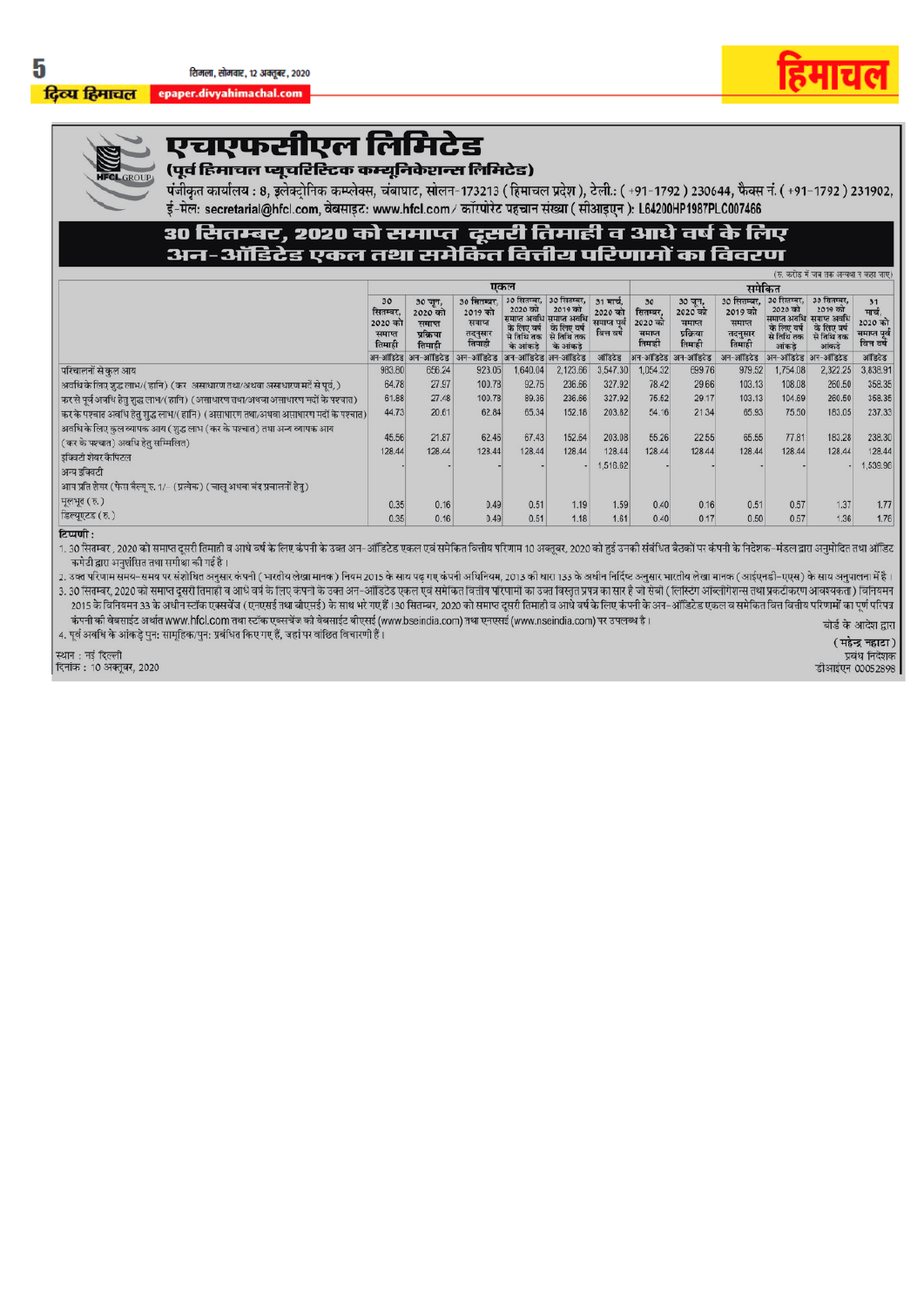दिव्य हिमाचल epaper.divyahimachal.com





## एचएफसीएल लिमिटेड

## ,<br>(पूर्व हिमाचल प्यूचरिस्टिक कम्यूनिकेशन्स लिमिटेड)

पंजीकृत कार्यालय : 8, इलेक्ट्रोनिक कम्प्लेक्स, चंबाघाट, सोलन-173213 (हिमाचल प्रदेश), टेली.: (+91-1792) 230644, फैक्स नं. (+91-1792) 231902, ई-मेल: secretarial@hfcl.com, वेबसाइट: www.hfcl.com/ कॉरपोरेट पहचान संख्या (सीआइएन): L64200HP1987PLC007466

# 30 सितम्बर, 2020 को समाप्त दूसरी तिमाही व आधे वर्ष के लिए<br>अन-ऑडिटेड एकल तथा समेकित वित्तीय परिणामों का विवरण

|                                                                                                              |                                               |                                                     |                                                       |                                                                            |                                                                            |                                                    |                                               |                                                     |                                                       |                                                              | (रु. करोड में जब तक अन्यथा न कहा जाए)                                                    |                                                       |  |  |
|--------------------------------------------------------------------------------------------------------------|-----------------------------------------------|-----------------------------------------------------|-------------------------------------------------------|----------------------------------------------------------------------------|----------------------------------------------------------------------------|----------------------------------------------------|-----------------------------------------------|-----------------------------------------------------|-------------------------------------------------------|--------------------------------------------------------------|------------------------------------------------------------------------------------------|-------------------------------------------------------|--|--|
|                                                                                                              | एकल                                           |                                                     |                                                       |                                                                            |                                                                            |                                                    |                                               | समेकित                                              |                                                       |                                                              |                                                                                          |                                                       |  |  |
|                                                                                                              | 30<br>सितम्बर.<br>2020 को<br>समाप्त<br>तिमाही | 30 जून,<br>2020 को<br>समाप्त<br>प्रक्रिया<br>तिमाही | 30 सितम्बर.<br>2019 को<br>समाप्त<br>तदनुसार<br>तिपाही | 30 सितम्बर, 30 सितम्बर,<br>2020 को<br>से तिथि तक   से तिथि तक<br>के आंकड़े | 2019 को<br>समाप्त अवधि समाप्त अवधि<br>के लिए वर्ष के लिए वर्ष<br>के आंकड़े | 31 मार्च.<br>2020 को<br>समाप्त पत्रे<br>बित्त वर्ष | 30<br>सितम्बर,<br>2020 को<br>समाप्त<br>तिमाही | 30 जून,<br>2020 को<br>समाप्त<br>प्रक्रिया<br>तिमाही | 30 सितम्बर,<br>2019 को<br>समाप्त<br>तदनुसार<br>तिमाही | 30 सितम्बर.<br>2020 को<br>के लिए वर्ष<br>से तिथि तक<br>आंकडे | 30 सितम्बर.<br>2019 को<br>समाप्त अवधि  समाप्त अवधि<br>के लिए वर्ष<br>से तिथि तक<br>आंकडे | 31<br>मार्च<br>2020 को<br>समाप्त पूर्व<br>वित्त वर्षे |  |  |
|                                                                                                              | अन-ऑडिटेड                                     | अन-ऑडिटेड                                           | अन-ऑडिटेड                                             | अन-ऑडिटेड अन-ऑडिटेड                                                        |                                                                            | ऑडिटेड                                             |                                               | अन-ऑडिटेड अन-ऑडिटेड                                 | अन-ऑडिटेड                                             | अन-ऑडिटेड                                                    | अन-ऑडिटेड                                                                                | ऑडिटेड                                                |  |  |
| परिचालनों से कल आय                                                                                           | 983.80                                        | 656.24                                              | 923.05                                                | 1,640.04                                                                   | 2,123.66                                                                   | 3,547.30                                           | 1,054.32                                      | 699.76                                              | 979.52                                                | 1,754.08                                                     | 2,322.25                                                                                 | 3,838.91                                              |  |  |
| अवधि के लिए शुद्ध लाभ/( हानि) ( कर असाधारण तथा/अथवा असाधारण मर्दे से पूर्व, )                                | 64.78                                         | 27.97                                               | 100.78                                                | 92.75                                                                      | 236.66                                                                     | 327.92                                             | 78.42                                         | 29.66                                               | 103.13                                                | 108.08                                                       | 260.50                                                                                   | 358.35                                                |  |  |
| कर से पूर्व अवधि हेतु शुद्ध लाभ/( हानि) (असाधारण तथा/अथवा असाधारण मदों के पश्चात)                            | 61.88                                         | 27.48                                               | 100.78                                                | 89.36                                                                      | 236.66                                                                     | 327.92                                             | 75.52                                         | 29.17                                               | 103.13                                                | 104.69                                                       | 260.50                                                                                   | 358.35                                                |  |  |
| कर के पश्चात अवधि हेतु शुद्ध लाभ/( हानि) (असाधारण तथा/अथवा असाधारण मदों के पश्चात)                           | 44.73                                         | 20.61                                               | 62.84                                                 | 65.34                                                                      | 152.18                                                                     | 203.82                                             | 54.16                                         | 21.34                                               | 65.93                                                 | 75.50                                                        | 183.05                                                                                   | 237.33                                                |  |  |
| अवधि के लिए कुल व्यापक आय (शुद्ध लाभ (कर के पश्चात) तथा अन्य व्यापक आय<br>(कर के पश्चात) अवधि हेतु सम्मिलित) | 45.56                                         | 21.87                                               | 62.46                                                 | 67.43                                                                      | 152.64                                                                     | 203.08                                             | 55.26                                         | 22.55                                               | 65.55                                                 | 77.81                                                        | 183.28                                                                                   | 238.30                                                |  |  |
| इक्विटी शेयर कैपिटल                                                                                          | 128.44                                        | 128.44                                              | 128.44                                                | 128.44                                                                     | 128.44                                                                     | 128.44                                             | 128.44                                        | 128.44                                              | 128.44                                                | 128.44                                                       | 128.44                                                                                   | 128.44                                                |  |  |
| अन्य इक्विटी                                                                                                 |                                               |                                                     |                                                       |                                                                            |                                                                            | 1,516.62                                           |                                               |                                                     |                                                       |                                                              |                                                                                          | 1,539.96                                              |  |  |
| आय प्रति शेयर (फेस वैल्यू रु. 1/- (प्रत्येक) (चालू अथवा बंद प्रचालनों हेतु)                                  |                                               |                                                     |                                                       |                                                                            |                                                                            |                                                    |                                               |                                                     |                                                       |                                                              |                                                                                          |                                                       |  |  |
| मूलभूत ( रु. )                                                                                               | 0.35                                          | 0.16                                                | 0.49                                                  | 0.51                                                                       | 1.19                                                                       | 1.59                                               | 0.40                                          | 0.16                                                | 0.51                                                  | 0.57                                                         | 1.37                                                                                     | 1.77                                                  |  |  |
| डिल्युएटड ( रु. )                                                                                            | 0.35                                          | 0.16                                                | 0.49                                                  | 0.51                                                                       | 1.18                                                                       | 1.61                                               | 0.40                                          | 0.17                                                | 0.50                                                  | 0.57                                                         | 1.36                                                                                     | 1.76                                                  |  |  |

टिप्पणी:

1. 30 सितम्बर , 2020 को समाप्त दूसरी तिमाही व आधे वर्ष के लिए कंपनी के उक्त अन-ऑडिटेड एकल एवं समेकित वित्तीय परिणाम 10 अक्तूबर, 2020 को हुई उनकी संबंधित बैठकों पर कंपनी के निदेशक–मंडल द्वारा अनुमोदित तथा ऑडिट कमेटी द्वारा अनुशंसित तथा समीक्षा की गई है।

2. उक्त परिणाम समय-समय पर संशोधित अनुसार कंपनी (भारतीय लेखा मानक) नियम 2015 के साथ पढ़ गए कंपनी अधिनियम, 2013 की धारा 133 के अधीन निर्दिष्ट अनुसार भारतीय लेखा मानक (आईएनडी-एएस) के साथ अनुपालना में है। 3. 30 सितम्बर, 2020 को समाप्त दूसरी तिमाही व आधे वर्ष के लिए कंपनी के उक्त अन-ऑडिटेड एकल एवं समेकित वितीय परिणामों का उक्त विस्तृत प्रपत्र का सार है जो सेबी ( लिस्टिंग ऑब्लीगेशन्स तथा प्रकटीकरण आवश्यकता) विनियमन 2015 के विनियमन 33 के अधीन स्टॉक एक्सचेंज (एनएसई तथा बीएसई) के साथ भरे गए हैं 130 सितम्बर, 2020 को समाप्त दूसरी तिमाही व आधे वर्ष के लिए कंपनी के अन-ऑडिटेड एकल व समेकित वित्त वित्तीय परिणामों का पूर्ण परिपत्र कंपनी की वेबसाईट अर्थात www.hfcl.com तथा स्टॉक एक्सचेंज की वेबसाईट बीएसई (www.bseindia.com) तथा एनएसई (www.nseindia.com) पर उपलब्ध है। बोर्ड के आदेश द्वारा

4. पूर्व अवधि के आंकड़े पुन: सामूहिक/पुन: प्रबंधित किए गए हैं, जहां पर वांछित विचारणी हैं।

(महेन्द्र नहाटा)

स्थान : नई दिल्ली<br>दिनांक : 10 अक्तूबर, 2020

प्रबंध निदेशक डीआईएन 00052898

5